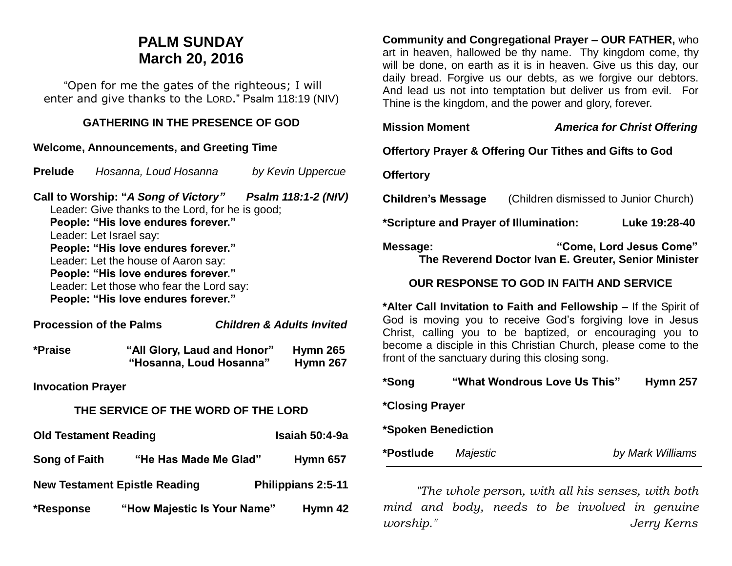# **PALM SUNDAY March 20, 2016**

"Open for me the gates of the righteous; I will enter and give thanks to the LORD." Psalm 118:19 (NIV)

## **GATHERING IN THE PRESENCE OF GOD**

#### **Welcome, Announcements, and Greeting Time**

| <b>Prelude</b>                                                                                                                                                                                                                                                                                                                                                                         | Hosanna, Loud Hosanna                                  |  | by Kevin Uppercue    |  |  |
|----------------------------------------------------------------------------------------------------------------------------------------------------------------------------------------------------------------------------------------------------------------------------------------------------------------------------------------------------------------------------------------|--------------------------------------------------------|--|----------------------|--|--|
| Call to Worship: "A Song of Victory" Psalm 118:1-2 (NIV)<br>Leader: Give thanks to the Lord, for he is good;<br>People: "His love endures forever."<br>Leader: Let Israel say:<br>People: "His love endures forever."<br>Leader: Let the house of Aaron say:<br>People: "His love endures forever."<br>Leader: Let those who fear the Lord say:<br>People: "His love endures forever." |                                                        |  |                      |  |  |
| <b>Procession of the Palms</b><br><b>Children &amp; Adults Invited</b>                                                                                                                                                                                                                                                                                                                 |                                                        |  |                      |  |  |
| *Praise                                                                                                                                                                                                                                                                                                                                                                                | "All Glory, Laud and Honor"<br>"Hosanna, Loud Hosanna" |  | Hymn 265<br>Hymn 267 |  |  |
| <b>Invocation Prayer</b>                                                                                                                                                                                                                                                                                                                                                               |                                                        |  |                      |  |  |
| THE SERVICE OF THE WORD OF THE LORD                                                                                                                                                                                                                                                                                                                                                    |                                                        |  |                      |  |  |
| <b>Old Testament Reading</b>                                                                                                                                                                                                                                                                                                                                                           |                                                        |  | Isaiah 50:4-9a       |  |  |

| <b>Song of Faith</b> | "He Has Made Me Glad"                | <b>Hymn 657</b>           |
|----------------------|--------------------------------------|---------------------------|
|                      | <b>New Testament Epistle Reading</b> | <b>Philippians 2:5-11</b> |
| *Response            | "How Majestic Is Your Name"          | Hymn 42                   |

**Community and Congregational Prayer – OUR FATHER,** who art in heaven, hallowed be thy name. Thy kingdom come, thy will be done, on earth as it is in heaven. Give us this day, our daily bread. Forgive us our debts, as we forgive our debtors. And lead us not into temptation but deliver us from evil. For Thine is the kingdom, and the power and glory, forever.

| <b>Mission Moment</b>                                                                                                                                                                                                                                                                                              | <b>America for Christ Offering</b>              |  |  |  |
|--------------------------------------------------------------------------------------------------------------------------------------------------------------------------------------------------------------------------------------------------------------------------------------------------------------------|-------------------------------------------------|--|--|--|
| <b>Offertory Prayer &amp; Offering Our Tithes and Gifts to God</b>                                                                                                                                                                                                                                                 |                                                 |  |  |  |
| <b>Offertory</b>                                                                                                                                                                                                                                                                                                   |                                                 |  |  |  |
| <b>Children's Message</b><br>(Children dismissed to Junior Church)                                                                                                                                                                                                                                                 |                                                 |  |  |  |
| *Scripture and Prayer of Illumination:                                                                                                                                                                                                                                                                             | Luke 19:28-40                                   |  |  |  |
| "Come, Lord Jesus Come"<br>Message:<br>The Reverend Doctor Ivan E. Greuter, Senior Minister                                                                                                                                                                                                                        |                                                 |  |  |  |
| <b>OUR RESPONSE TO GOD IN FAITH AND SERVICE</b>                                                                                                                                                                                                                                                                    |                                                 |  |  |  |
| *Alter Call Invitation to Faith and Fellowship – If the Spirit of<br>God is moving you to receive God's forgiving love in Jesus<br>Christ, calling you to be baptized, or encouraging you to<br>become a disciple in this Christian Church, please come to the<br>front of the sanctuary during this closing song. |                                                 |  |  |  |
| *Song                                                                                                                                                                                                                                                                                                              | "What Wondrous Love Us This"<br><b>Hymn 257</b> |  |  |  |
| *Closing Prayer                                                                                                                                                                                                                                                                                                    |                                                 |  |  |  |
| *Spoken Benediction                                                                                                                                                                                                                                                                                                |                                                 |  |  |  |
| *Postlude<br>Majestic                                                                                                                                                                                                                                                                                              | by Mark Williams                                |  |  |  |

*"The whole person, with all his senses, with both mind and body, needs to be involved in genuine worship." Jerry Kerns*